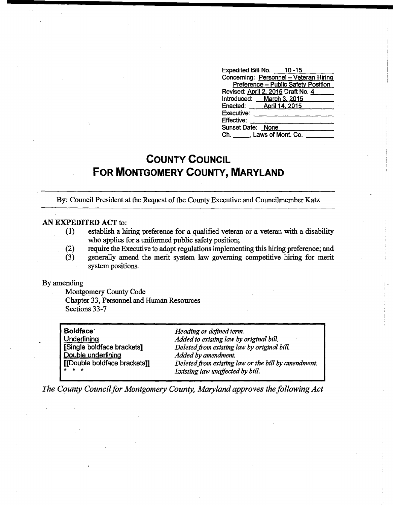| Expedited Bill No. 10-15               |
|----------------------------------------|
| Concerning: Personnel - Veteran Hiring |
| Preference - Public Safety Position    |
| Revised: April 2, 2015 Draft No. 4     |
| Introduced: March 3, 2015              |
| Enacted: <b>April 14, 2015</b>         |
| Executive:                             |
| Effective:                             |
| Sunset Date: None                      |
| Ch. Laws of Mont. Co.                  |

## **COUNTY COUNCIL FOR MONTGOMERY COUNTY, MARYLAND**

By: Council President at the Request of the County Executive and Councilmember Katz

## AN EXPEDITED ACT to:

- (1) establish a hiring preference for a qualified veteran or a veteran with a disability who applies for a uniformed public safety position;
- (2) require the Executive to adopt regulations implementing this hiring preference; and
- (3) generally amend the merit system law governing competitive hiring for merit system positions.

## By amending

Montgomery County Code Chapter 33, Personnel and Human Resources Sections 33-7

| <b>Boldface</b><br>Underlining<br>[Single boldface brackets]<br>Double underlining<br>[[Double boldface brackets]]<br>* * * | Heading or defined term.<br>Added to existing law by original bill.<br>Deleted from existing law by original bill.<br>Added by amendment.<br>Deleted from existing law or the bill by amendment. |
|-----------------------------------------------------------------------------------------------------------------------------|--------------------------------------------------------------------------------------------------------------------------------------------------------------------------------------------------|
|                                                                                                                             | Existing law unaffected by bill.                                                                                                                                                                 |

*The County Council for Montgomery County, Maryland approves the following Act*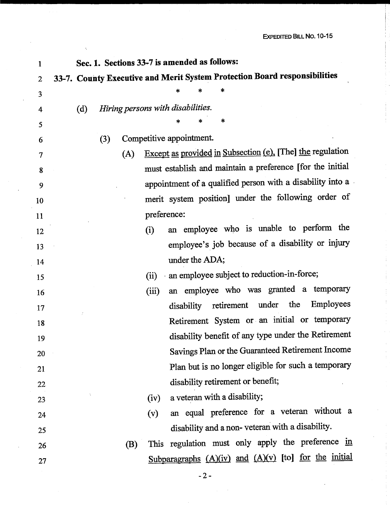| $\mathbf{1}$   | Sec. 1. Sections 33-7 is amended as follows:                              |
|----------------|---------------------------------------------------------------------------|
| $\overline{2}$ | 33-7. County Executive and Merit System Protection Board responsibilities |
| 3              |                                                                           |
| 4              | Hiring persons with disabilities.<br>(d)                                  |
| 5              | ∗<br>*<br>*                                                               |
| 6              | Competitive appointment.<br>(3)                                           |
| 7              | Except as provided in Subsection (e). [The] the regulation<br>(A)         |
| 8              | must establish and maintain a preference [for the initial                 |
| 9              | appointment of a qualified person with a disability into a                |
| 10             | merit system position] under the following order of                       |
| 11             | preference:                                                               |
| 12             | an employee who is unable to perform the<br>(i)                           |
| 13             | employee's job because of a disability or injury                          |
| 14             | under the ADA;                                                            |
| 15             | an employee subject to reduction-in-force;<br>(ii)                        |
| 16             | an employee who was granted a temporary<br>(iii)                          |
| 17             | Employees<br>retirement under the<br>disability                           |
| 18             | Retirement System or an initial or temporary                              |
| 19             | disability benefit of any type under the Retirement                       |
| 20             | Savings Plan or the Guaranteed Retirement Income                          |
| 21             | Plan but is no longer eligible for such a temporary                       |
| 22             | disability retirement or benefit;                                         |
| 23             | a veteran with a disability;<br>(iv)                                      |
| 24             | an equal preference for a veteran without a<br>(v)                        |
| 25             | disability and a non-veteran with a disability.                           |
| 26             | This regulation must only apply the preference in<br>(B)                  |
| 27             | Subparagraphs $(A)(iv)$ and $(A)(v)$ [to] for the initial                 |
|                |                                                                           |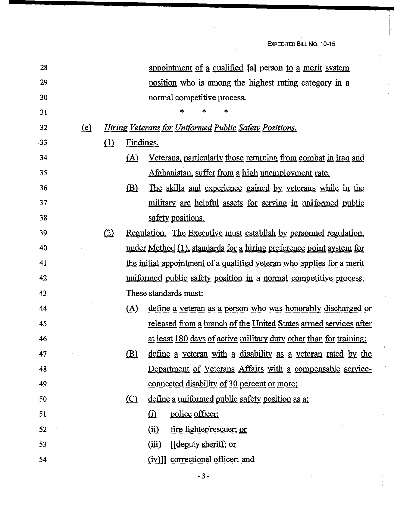$\frac{1}{4}$ 

| 28 |          |          |           | appointment of a qualified [a] person to a merit system                  |
|----|----------|----------|-----------|--------------------------------------------------------------------------|
| 29 |          |          |           | position who is among the highest rating category in a                   |
| 30 |          |          |           | normal competitive process.                                              |
| 31 |          |          |           |                                                                          |
| 32 | $\Omega$ |          |           | Hiring Veterans for Uniformed Public Safety Positions.                   |
| 33 |          | $\Omega$ | Findings. |                                                                          |
| 34 |          |          | (A)       | <u>Veterans, particularly those returning from combat in Iraq and</u>    |
| 35 |          |          |           | Afghanistan, suffer from a high unemployment rate.                       |
| 36 |          |          | (B)       | The skills and experience gained by veterans while in the                |
| 37 |          |          |           | <u>military are helpful assets for serving in uniformed public</u>       |
| 38 |          |          |           | safety positions.                                                        |
| 39 |          | (2)      |           | <u>Regulation. The Executive must establish by personnel regulation,</u> |
| 40 |          |          |           | under Method (1), standards for a hiring preference point system for     |
| 41 |          |          |           | the initial appointment of a qualified veteran who applies for a merit   |
| 42 |          |          |           | uniformed public safety position in a normal competitive process.        |
| 43 |          |          |           | These standards must:                                                    |
| 44 |          |          | (A)       | <u>define a veteran as a person who was honorably discharged or</u>      |
| 45 |          |          |           | released from a branch of the United States armed services after         |
| 46 |          |          |           | at least 180 days of active military duty other than for training;       |
| 47 |          |          | (B)       | define a veteran with a disability as a veteran rated by the             |
| 48 |          |          |           | Department of Veterans Affairs with a compensable service-               |
| 49 |          |          |           | <u>connected disability of 30 percent or more;</u>                       |
| 50 |          |          | $\circ$   | define a uniformed public safety position as a:                          |
| 51 |          |          |           | police officer;<br>$\Omega$                                              |
| 52 |          |          |           | <u>fire fighter/rescuer; or</u><br><u>(ii)</u>                           |
| 53 |          |          |           | (iii)<br>[[deputy sheriff; or                                            |
| 54 |          |          |           | (iv)]] correctional officer; and                                         |
|    |          |          |           |                                                                          |

 $\bar{\mathcal{A}}$ 

- 3 -

 $\cdot$